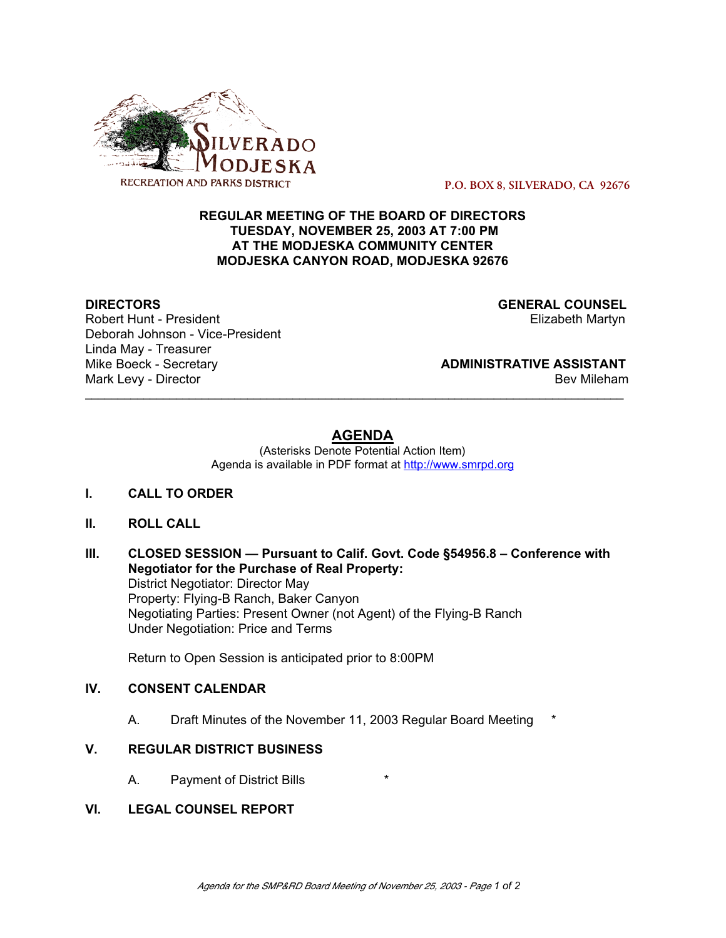

 **P.O. BOX 8, SILVERADO, CA 92676**

# **REGULAR MEETING OF THE BOARD OF DIRECTORS TUESDAY, NOVEMBER 25, 2003 AT 7:00 PM AT THE MODJESKA COMMUNITY CENTER MODJESKA CANYON ROAD, MODJESKA 92676**

Robert Hunt - President Deborah Johnson - Vice-President Linda May - Treasurer Mike Boeck - Secretary **ADMINISTRATIVE ASSISTANT** Mark Levy - Director **Bev Mileham Mark Levy - Director** Bev Mileham

**DIRECTORS**<br>
Robert Hunt - President<br>
Robert Hunt - President

# **AGENDA**

\_\_\_\_\_\_\_\_\_\_\_\_\_\_\_\_\_\_\_\_\_\_\_\_\_\_\_\_\_\_\_\_\_\_\_\_\_\_\_\_\_\_\_\_\_\_\_\_\_\_\_\_\_\_\_\_\_\_\_\_\_\_\_\_\_\_\_\_\_\_\_\_\_\_\_\_\_\_\_\_\_\_\_

(Asterisks Denote Potential Action Item) Agenda is available in PDF format at http://www.smrpd.org

- **I. CALL TO ORDER**
- **II. ROLL CALL**
- **III. CLOSED SESSION Pursuant to Calif. Govt. Code §54956.8 Conference with Negotiator for the Purchase of Real Property:**

District Negotiator: Director May Property: Flying-B Ranch, Baker Canyon Negotiating Parties: Present Owner (not Agent) of the Flying-B Ranch Under Negotiation: Price and Terms

Return to Open Session is anticipated prior to 8:00PM

# **IV. CONSENT CALENDAR**

A. Draft Minutes of the November 11, 2003 Regular Board Meeting

# **V. REGULAR DISTRICT BUSINESS**

A. Payment of District Bills

## **VI. LEGAL COUNSEL REPORT**